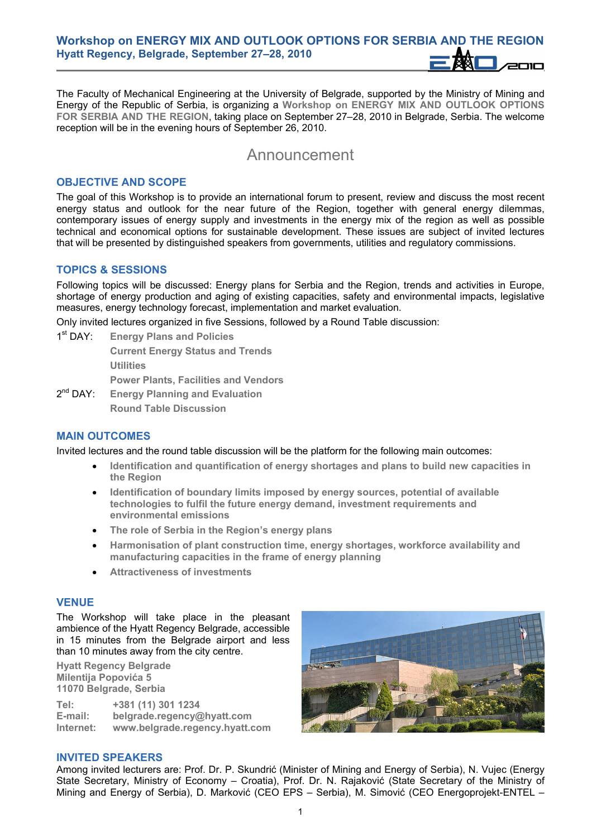The Faculty of Mechanical Engineering at the University of Belgrade, supported by the Ministry of Mining and Energy of the Republic of Serbia, is organizing a **Workshop on ENERGY MIX AND OUTLOOK OPTIONS FOR SERBIA AND THE REGION**, taking place on September 27–28, 2010 in Belgrade, Serbia. The welcome reception will be in the evening hours of September 26, 2010.

# Announcement

#### **OBJECTIVE AND SCOPE**

The goal of this Workshop is to provide an international forum to present, review and discuss the most recent energy status and outlook for the near future of the Region, together with general energy dilemmas, contemporary issues of energy supply and investments in the energy mix of the region as well as possible technical and economical options for sustainable development. These issues are subject of invited lectures that will be presented by distinguished speakers from governments, utilities and regulatory commissions.

### **TOPICS & SESSIONS**

Following topics will be discussed: Energy plans for Serbia and the Region, trends and activities in Europe, shortage of energy production and aging of existing capacities, safety and environmental impacts, legislative measures, energy technology forecast, implementation and market evaluation.

Only invited lectures organized in five Sessions, followed by a Round Table discussion:

1st DAY: **Energy Plans and Policies** 

**Current Energy Status and Trends Utilities** 

**Power Plants, Facilities and Vendors** 

2nd DAY: **Energy Planning and Evaluation Round Table Discussion** 

#### **MAIN OUTCOMES**

Invited lectures and the round table discussion will be the platform for the following main outcomes:

- **Identification and quantification of energy shortages and plans to build new capacities in the Region**
- **Identification of boundary limits imposed by energy sources, potential of available technologies to fulfil the future energy demand, investment requirements and environmental emissions**
- **The role of Serbia in the Region's energy plans**
- **Harmonisation of plant construction time, energy shortages, workforce availability and manufacturing capacities in the frame of energy planning**
- **Attractiveness of investments**

#### **VENUE**

The Workshop will take place in the pleasant ambience of the Hyatt Regency Belgrade, accessible in 15 minutes from the Belgrade airport and less than 10 minutes away from the city centre.

**Hyatt Regency Belgrade Milentija Popovića 5 11070 Belgrade, Serbia** 

**Tel: +381 (11) 301 1234 E-mail: belgrade.regency@hyatt.com Internet: www.belgrade.regency.hyatt.com**



#### **INVITED SPEAKERS**

Among invited lecturers are: Prof. Dr. P. Skundrić (Minister of Mining and Energy of Serbia), N. Vujec (Energy State Secretary, Ministry of Economy – Croatia), Prof. Dr. N. Rajaković (State Secretary of the Ministry of Mining and Energy of Serbia), D. Marković (CEO EPS – Serbia), M. Simović (CEO Energoprojekt-ENTEL –